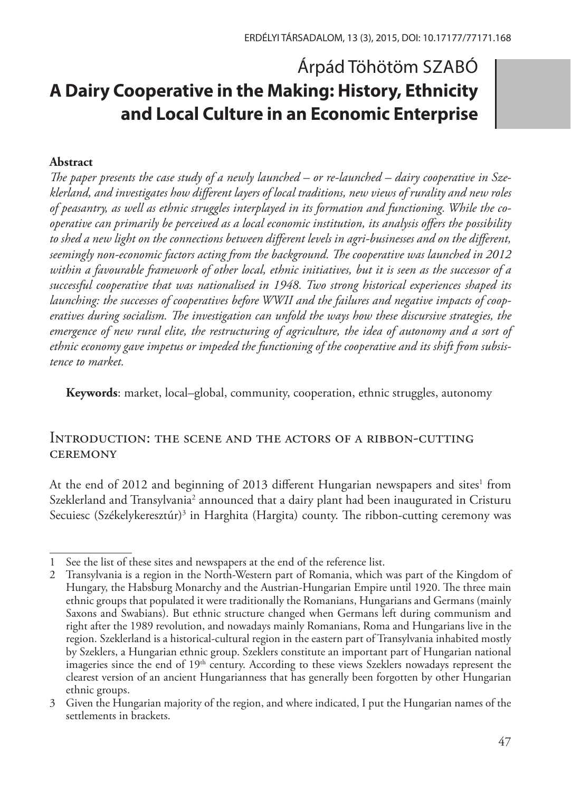# Árpád Töhötöm SZABÓ **A Dairy Cooperative in the Making: History, Ethnicity and Local Culture in an Economic Enterprise**

#### **Abstract**

*The paper presents the case study of a newly launched – or re-launched – dairy cooperative in Szeklerland, and investigates how different layers of local traditions, new views of rurality and new roles of peasantry, as well as ethnic struggles interplayed in its formation and functioning. While the cooperative can primarily be perceived as a local economic institution, its analysis offers the possibility to shed a new light on the connections between different levels in agri-businesses and on the different, seemingly non-economic factors acting from the background. The cooperative was launched in 2012 within a favourable framework of other local, ethnic initiatives, but it is seen as the successor of a successful cooperative that was nationalised in 1948. Two strong historical experiences shaped its launching: the successes of cooperatives before WWII and the failures and negative impacts of cooperatives during socialism. The investigation can unfold the ways how these discursive strategies, the emergence of new rural elite, the restructuring of agriculture, the idea of autonomy and a sort of ethnic economy gave impetus or impeded the functioning of the cooperative and its shift from subsistence to market.*

**Keywords**: market, local–global, community, cooperation, ethnic struggles, autonomy

#### Introduction: the scene and the actors of a ribbon-cutting **CEREMONY**

At the end of 2012 and beginning of 2013 different Hungarian newspapers and sites<sup>1</sup> from Szeklerland and Transylvania<sup>2</sup> announced that a dairy plant had been inaugurated in Cristuru Secuiesc (Székelykeresztúr)3 in Harghita (Hargita) county. The ribbon-cutting ceremony was

<sup>1</sup> See the list of these sites and newspapers at the end of the reference list.

<sup>2</sup> Transylvania is a region in the North-Western part of Romania, which was part of the Kingdom of Hungary, the Habsburg Monarchy and the Austrian-Hungarian Empire until 1920. The three main ethnic groups that populated it were traditionally the Romanians, Hungarians and Germans (mainly Saxons and Swabians). But ethnic structure changed when Germans left during communism and right after the 1989 revolution, and nowadays mainly Romanians, Roma and Hungarians live in the region. Szeklerland is a historical-cultural region in the eastern part of Transylvania inhabited mostly by Szeklers, a Hungarian ethnic group. Szeklers constitute an important part of Hungarian national imageries since the end of  $19<sup>th</sup>$  century. According to these views Szeklers nowadays represent the clearest version of an ancient Hungarianness that has generally been forgotten by other Hungarian ethnic groups.

<sup>3</sup> Given the Hungarian majority of the region, and where indicated, I put the Hungarian names of the settlements in brackets.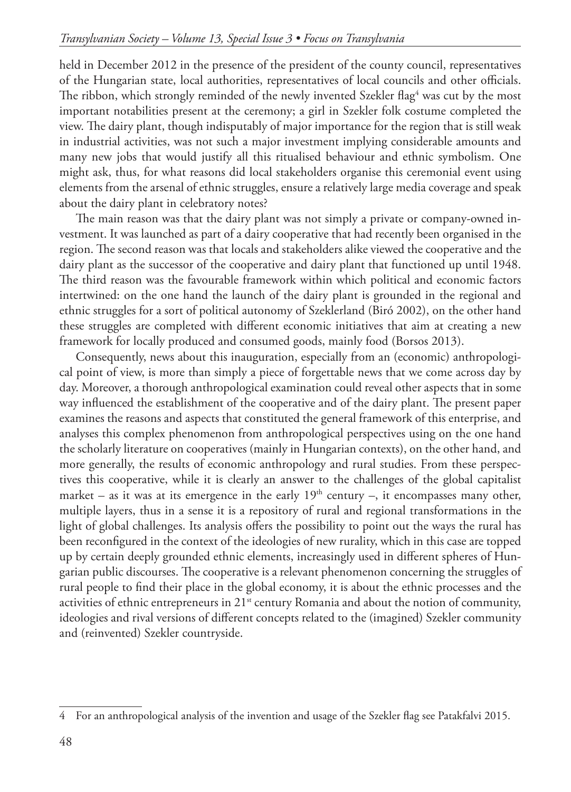held in December 2012 in the presence of the president of the county council, representatives of the Hungarian state, local authorities, representatives of local councils and other officials. The ribbon, which strongly reminded of the newly invented Szekler flag $^4$  was cut by the most important notabilities present at the ceremony; a girl in Szekler folk costume completed the view. The dairy plant, though indisputably of major importance for the region that is still weak in industrial activities, was not such a major investment implying considerable amounts and many new jobs that would justify all this ritualised behaviour and ethnic symbolism. One might ask, thus, for what reasons did local stakeholders organise this ceremonial event using elements from the arsenal of ethnic struggles, ensure a relatively large media coverage and speak about the dairy plant in celebratory notes?

The main reason was that the dairy plant was not simply a private or company-owned investment. It was launched as part of a dairy cooperative that had recently been organised in the region. The second reason was that locals and stakeholders alike viewed the cooperative and the dairy plant as the successor of the cooperative and dairy plant that functioned up until 1948. The third reason was the favourable framework within which political and economic factors intertwined: on the one hand the launch of the dairy plant is grounded in the regional and ethnic struggles for a sort of political autonomy of Szeklerland (Biró 2002), on the other hand these struggles are completed with different economic initiatives that aim at creating a new framework for locally produced and consumed goods, mainly food (Borsos 2013).

Consequently, news about this inauguration, especially from an (economic) anthropological point of view, is more than simply a piece of forgettable news that we come across day by day. Moreover, a thorough anthropological examination could reveal other aspects that in some way influenced the establishment of the cooperative and of the dairy plant. The present paper examines the reasons and aspects that constituted the general framework of this enterprise, and analyses this complex phenomenon from anthropological perspectives using on the one hand the scholarly literature on cooperatives (mainly in Hungarian contexts), on the other hand, and more generally, the results of economic anthropology and rural studies. From these perspectives this cooperative, while it is clearly an answer to the challenges of the global capitalist market – as it was at its emergence in the early  $19<sup>th</sup>$  century –, it encompasses many other, multiple layers, thus in a sense it is a repository of rural and regional transformations in the light of global challenges. Its analysis offers the possibility to point out the ways the rural has been reconfigured in the context of the ideologies of new rurality, which in this case are topped up by certain deeply grounded ethnic elements, increasingly used in different spheres of Hungarian public discourses. The cooperative is a relevant phenomenon concerning the struggles of rural people to find their place in the global economy, it is about the ethnic processes and the activities of ethnic entrepreneurs in  $21^{st}$  century Romania and about the notion of community, ideologies and rival versions of different concepts related to the (imagined) Szekler community and (reinvented) Szekler countryside.

<sup>4</sup> For an anthropological analysis of the invention and usage of the Szekler flag see Patakfalvi 2015.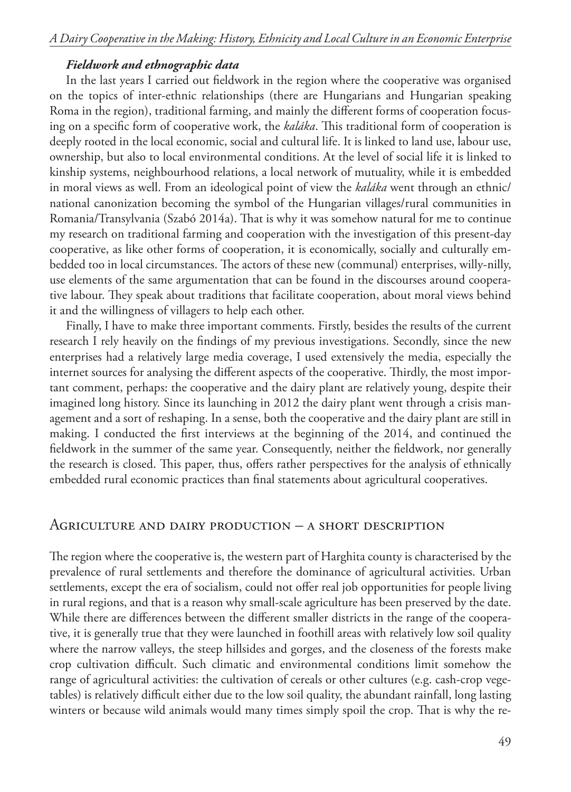#### *Fieldwork and ethnographic data*

In the last years I carried out fieldwork in the region where the cooperative was organised on the topics of inter-ethnic relationships (there are Hungarians and Hungarian speaking Roma in the region), traditional farming, and mainly the different forms of cooperation focusing on a specific form of cooperative work, the *kaláka*. This traditional form of cooperation is deeply rooted in the local economic, social and cultural life. It is linked to land use, labour use, ownership, but also to local environmental conditions. At the level of social life it is linked to kinship systems, neighbourhood relations, a local network of mutuality, while it is embedded in moral views as well. From an ideological point of view the *kaláka* went through an ethnic/ national canonization becoming the symbol of the Hungarian villages/rural communities in Romania/Transylvania (Szabó 2014a). That is why it was somehow natural for me to continue my research on traditional farming and cooperation with the investigation of this present-day cooperative, as like other forms of cooperation, it is economically, socially and culturally embedded too in local circumstances. The actors of these new (communal) enterprises, willy-nilly, use elements of the same argumentation that can be found in the discourses around cooperative labour. They speak about traditions that facilitate cooperation, about moral views behind it and the willingness of villagers to help each other.

Finally, I have to make three important comments. Firstly, besides the results of the current research I rely heavily on the findings of my previous investigations. Secondly, since the new enterprises had a relatively large media coverage, I used extensively the media, especially the internet sources for analysing the different aspects of the cooperative. Thirdly, the most important comment, perhaps: the cooperative and the dairy plant are relatively young, despite their imagined long history. Since its launching in 2012 the dairy plant went through a crisis management and a sort of reshaping. In a sense, both the cooperative and the dairy plant are still in making. I conducted the first interviews at the beginning of the 2014, and continued the fieldwork in the summer of the same year. Consequently, neither the fieldwork, nor generally the research is closed. This paper, thus, offers rather perspectives for the analysis of ethnically embedded rural economic practices than final statements about agricultural cooperatives.

#### Agriculture and dairy production – a short description

The region where the cooperative is, the western part of Harghita county is characterised by the prevalence of rural settlements and therefore the dominance of agricultural activities. Urban settlements, except the era of socialism, could not offer real job opportunities for people living in rural regions, and that is a reason why small-scale agriculture has been preserved by the date. While there are differences between the different smaller districts in the range of the cooperative, it is generally true that they were launched in foothill areas with relatively low soil quality where the narrow valleys, the steep hillsides and gorges, and the closeness of the forests make crop cultivation difficult. Such climatic and environmental conditions limit somehow the range of agricultural activities: the cultivation of cereals or other cultures (e.g. cash-crop vegetables) is relatively difficult either due to the low soil quality, the abundant rainfall, long lasting winters or because wild animals would many times simply spoil the crop. That is why the re-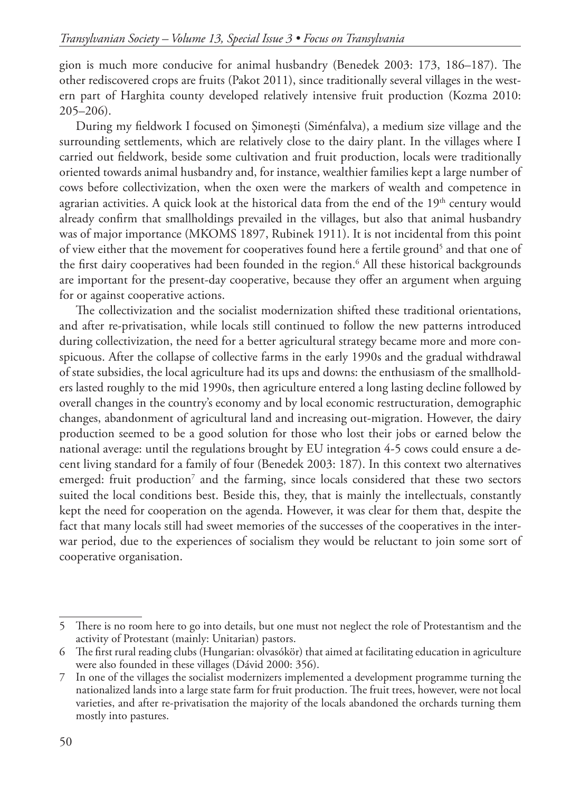gion is much more conducive for animal husbandry (Benedek 2003: 173, 186–187). The other rediscovered crops are fruits (Pakot 2011), since traditionally several villages in the western part of Harghita county developed relatively intensive fruit production (Kozma 2010: 205–206).

During my fieldwork I focused on Şimoneşti (Siménfalva), a medium size village and the surrounding settlements, which are relatively close to the dairy plant. In the villages where I carried out fieldwork, beside some cultivation and fruit production, locals were traditionally oriented towards animal husbandry and, for instance, wealthier families kept a large number of cows before collectivization, when the oxen were the markers of wealth and competence in agrarian activities. A quick look at the historical data from the end of the 19<sup>th</sup> century would already confirm that smallholdings prevailed in the villages, but also that animal husbandry was of major importance (MKOMS 1897, Rubinek 1911). It is not incidental from this point of view either that the movement for cooperatives found here a fertile ground<sup>5</sup> and that one of the first dairy cooperatives had been founded in the region.6 All these historical backgrounds are important for the present-day cooperative, because they offer an argument when arguing for or against cooperative actions.

The collectivization and the socialist modernization shifted these traditional orientations, and after re-privatisation, while locals still continued to follow the new patterns introduced during collectivization, the need for a better agricultural strategy became more and more conspicuous. After the collapse of collective farms in the early 1990s and the gradual withdrawal of state subsidies, the local agriculture had its ups and downs: the enthusiasm of the smallholders lasted roughly to the mid 1990s, then agriculture entered a long lasting decline followed by overall changes in the country's economy and by local economic restructuration, demographic changes, abandonment of agricultural land and increasing out-migration. However, the dairy production seemed to be a good solution for those who lost their jobs or earned below the national average: until the regulations brought by EU integration 4-5 cows could ensure a decent living standard for a family of four (Benedek 2003: 187). In this context two alternatives emerged: fruit production<sup>7</sup> and the farming, since locals considered that these two sectors suited the local conditions best. Beside this, they, that is mainly the intellectuals, constantly kept the need for cooperation on the agenda. However, it was clear for them that, despite the fact that many locals still had sweet memories of the successes of the cooperatives in the interwar period, due to the experiences of socialism they would be reluctant to join some sort of cooperative organisation.

<sup>5</sup> There is no room here to go into details, but one must not neglect the role of Protestantism and the activity of Protestant (mainly: Unitarian) pastors.

<sup>6</sup> The first rural reading clubs (Hungarian: olvasókör) that aimed at facilitating education in agriculture were also founded in these villages (Dávid 2000: 356).

<sup>7</sup> In one of the villages the socialist modernizers implemented a development programme turning the nationalized lands into a large state farm for fruit production. The fruit trees, however, were not local varieties, and after re-privatisation the majority of the locals abandoned the orchards turning them mostly into pastures.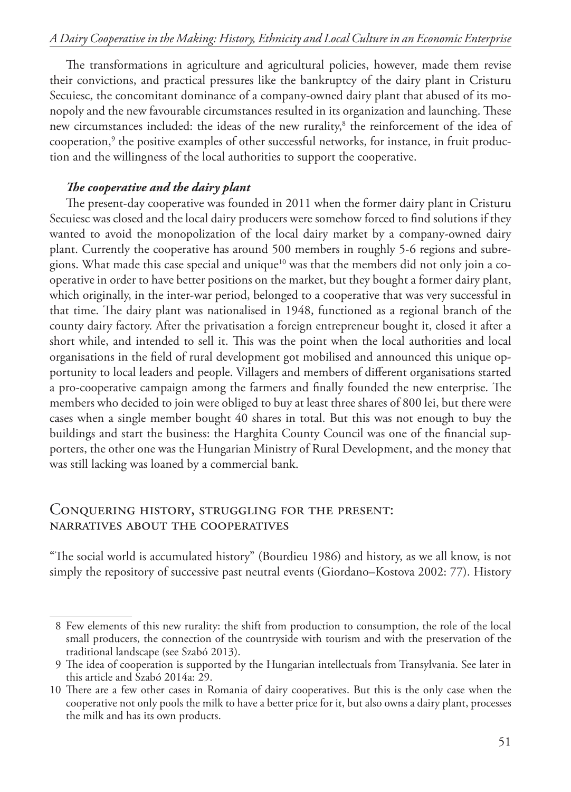The transformations in agriculture and agricultural policies, however, made them revise their convictions, and practical pressures like the bankruptcy of the dairy plant in Cristuru Secuiesc, the concomitant dominance of a company-owned dairy plant that abused of its monopoly and the new favourable circumstances resulted in its organization and launching. These new circumstances included: the ideas of the new rurality,<sup>8</sup> the reinforcement of the idea of cooperation,<sup>9</sup> the positive examples of other successful networks, for instance, in fruit production and the willingness of the local authorities to support the cooperative.

#### *The cooperative and the dairy plant*

The present-day cooperative was founded in 2011 when the former dairy plant in Cristuru Secuiesc was closed and the local dairy producers were somehow forced to find solutions if they wanted to avoid the monopolization of the local dairy market by a company-owned dairy plant. Currently the cooperative has around 500 members in roughly 5-6 regions and subregions. What made this case special and unique<sup>10</sup> was that the members did not only join a cooperative in order to have better positions on the market, but they bought a former dairy plant, which originally, in the inter-war period, belonged to a cooperative that was very successful in that time. The dairy plant was nationalised in 1948, functioned as a regional branch of the county dairy factory. After the privatisation a foreign entrepreneur bought it, closed it after a short while, and intended to sell it. This was the point when the local authorities and local organisations in the field of rural development got mobilised and announced this unique opportunity to local leaders and people. Villagers and members of different organisations started a pro-cooperative campaign among the farmers and finally founded the new enterprise. The members who decided to join were obliged to buy at least three shares of 800 lei, but there were cases when a single member bought 40 shares in total. But this was not enough to buy the buildings and start the business: the Harghita County Council was one of the financial supporters, the other one was the Hungarian Ministry of Rural Development, and the money that was still lacking was loaned by a commercial bank.

# Conquering history, struggling for the present: narratives about the cooperatives

"The social world is accumulated history" (Bourdieu 1986) and history, as we all know, is not simply the repository of successive past neutral events (Giordano–Kostova 2002: 77). History

 <sup>8</sup> Few elements of this new rurality: the shift from production to consumption, the role of the local small producers, the connection of the countryside with tourism and with the preservation of the traditional landscape (see Szabó 2013).

 <sup>9</sup> The idea of cooperation is supported by the Hungarian intellectuals from Transylvania. See later in this article and Szabó 2014a: 29.

<sup>10</sup> There are a few other cases in Romania of dairy cooperatives. But this is the only case when the cooperative not only pools the milk to have a better price for it, but also owns a dairy plant, processes the milk and has its own products.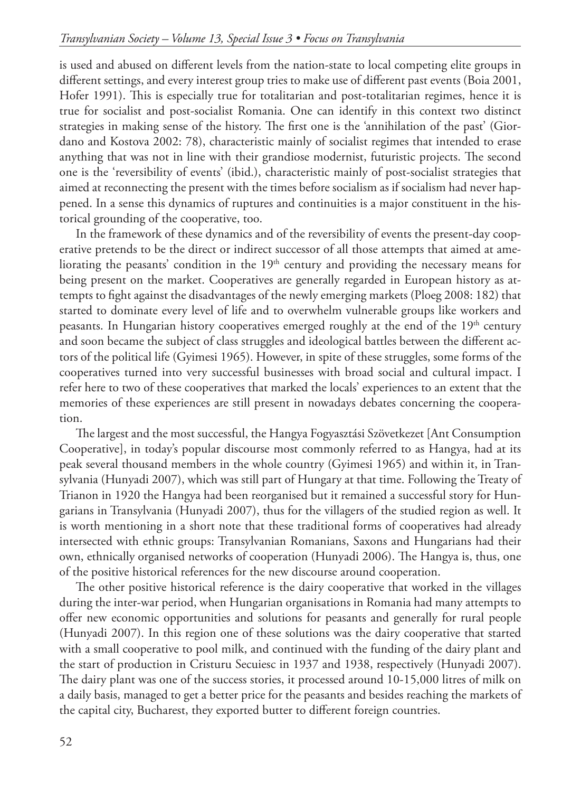is used and abused on different levels from the nation-state to local competing elite groups in different settings, and every interest group tries to make use of different past events (Boia 2001, Hofer 1991). This is especially true for totalitarian and post-totalitarian regimes, hence it is true for socialist and post-socialist Romania. One can identify in this context two distinct strategies in making sense of the history. The first one is the 'annihilation of the past' (Giordano and Kostova 2002: 78), characteristic mainly of socialist regimes that intended to erase anything that was not in line with their grandiose modernist, futuristic projects. The second one is the 'reversibility of events' (ibid.), characteristic mainly of post-socialist strategies that aimed at reconnecting the present with the times before socialism as if socialism had never happened. In a sense this dynamics of ruptures and continuities is a major constituent in the historical grounding of the cooperative, too.

In the framework of these dynamics and of the reversibility of events the present-day cooperative pretends to be the direct or indirect successor of all those attempts that aimed at ameliorating the peasants' condition in the 19<sup>th</sup> century and providing the necessary means for being present on the market. Cooperatives are generally regarded in European history as attempts to fight against the disadvantages of the newly emerging markets (Ploeg 2008: 182) that started to dominate every level of life and to overwhelm vulnerable groups like workers and peasants. In Hungarian history cooperatives emerged roughly at the end of the 19<sup>th</sup> century and soon became the subject of class struggles and ideological battles between the different actors of the political life (Gyimesi 1965). However, in spite of these struggles, some forms of the cooperatives turned into very successful businesses with broad social and cultural impact. I refer here to two of these cooperatives that marked the locals' experiences to an extent that the memories of these experiences are still present in nowadays debates concerning the cooperation.

The largest and the most successful, the Hangya Fogyasztási Szövetkezet [Ant Consumption Cooperative], in today's popular discourse most commonly referred to as Hangya, had at its peak several thousand members in the whole country (Gyimesi 1965) and within it, in Transylvania (Hunyadi 2007), which was still part of Hungary at that time. Following the Treaty of Trianon in 1920 the Hangya had been reorganised but it remained a successful story for Hungarians in Transylvania (Hunyadi 2007), thus for the villagers of the studied region as well. It is worth mentioning in a short note that these traditional forms of cooperatives had already intersected with ethnic groups: Transylvanian Romanians, Saxons and Hungarians had their own, ethnically organised networks of cooperation (Hunyadi 2006). The Hangya is, thus, one of the positive historical references for the new discourse around cooperation.

The other positive historical reference is the dairy cooperative that worked in the villages during the inter-war period, when Hungarian organisations in Romania had many attempts to offer new economic opportunities and solutions for peasants and generally for rural people (Hunyadi 2007). In this region one of these solutions was the dairy cooperative that started with a small cooperative to pool milk, and continued with the funding of the dairy plant and the start of production in Cristuru Secuiesc in 1937 and 1938, respectively (Hunyadi 2007). The dairy plant was one of the success stories, it processed around 10-15,000 litres of milk on a daily basis, managed to get a better price for the peasants and besides reaching the markets of the capital city, Bucharest, they exported butter to different foreign countries.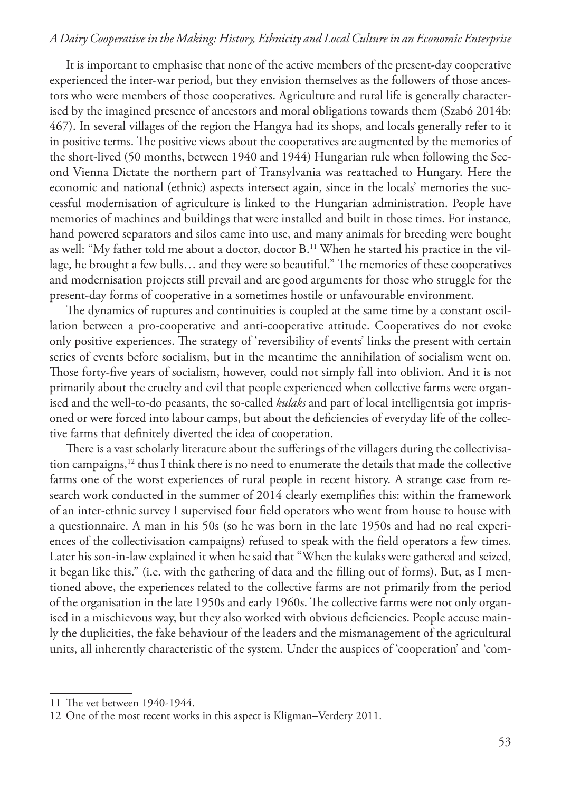It is important to emphasise that none of the active members of the present-day cooperative experienced the inter-war period, but they envision themselves as the followers of those ancestors who were members of those cooperatives. Agriculture and rural life is generally characterised by the imagined presence of ancestors and moral obligations towards them (Szabó 2014b: 467). In several villages of the region the Hangya had its shops, and locals generally refer to it in positive terms. The positive views about the cooperatives are augmented by the memories of the short-lived (50 months, between 1940 and 1944) Hungarian rule when following the Second Vienna Dictate the northern part of Transylvania was reattached to Hungary. Here the economic and national (ethnic) aspects intersect again, since in the locals' memories the successful modernisation of agriculture is linked to the Hungarian administration. People have memories of machines and buildings that were installed and built in those times. For instance, hand powered separators and silos came into use, and many animals for breeding were bought as well: "My father told me about a doctor, doctor B.11 When he started his practice in the village, he brought a few bulls… and they were so beautiful." The memories of these cooperatives and modernisation projects still prevail and are good arguments for those who struggle for the present-day forms of cooperative in a sometimes hostile or unfavourable environment.

The dynamics of ruptures and continuities is coupled at the same time by a constant oscillation between a pro-cooperative and anti-cooperative attitude. Cooperatives do not evoke only positive experiences. The strategy of 'reversibility of events' links the present with certain series of events before socialism, but in the meantime the annihilation of socialism went on. Those forty-five years of socialism, however, could not simply fall into oblivion. And it is not primarily about the cruelty and evil that people experienced when collective farms were organised and the well-to-do peasants, the so-called *kulaks* and part of local intelligentsia got imprisoned or were forced into labour camps, but about the deficiencies of everyday life of the collective farms that definitely diverted the idea of cooperation.

There is a vast scholarly literature about the sufferings of the villagers during the collectivisation campaigns, $12$  thus I think there is no need to enumerate the details that made the collective farms one of the worst experiences of rural people in recent history. A strange case from research work conducted in the summer of 2014 clearly exemplifies this: within the framework of an inter-ethnic survey I supervised four field operators who went from house to house with a questionnaire. A man in his 50s (so he was born in the late 1950s and had no real experiences of the collectivisation campaigns) refused to speak with the field operators a few times. Later his son-in-law explained it when he said that "When the kulaks were gathered and seized, it began like this." (i.e. with the gathering of data and the filling out of forms). But, as I mentioned above, the experiences related to the collective farms are not primarily from the period of the organisation in the late 1950s and early 1960s. The collective farms were not only organised in a mischievous way, but they also worked with obvious deficiencies. People accuse mainly the duplicities, the fake behaviour of the leaders and the mismanagement of the agricultural units, all inherently characteristic of the system. Under the auspices of 'cooperation' and 'com-

<sup>11</sup> The vet between 1940-1944.

<sup>12</sup> One of the most recent works in this aspect is Kligman–Verdery 2011.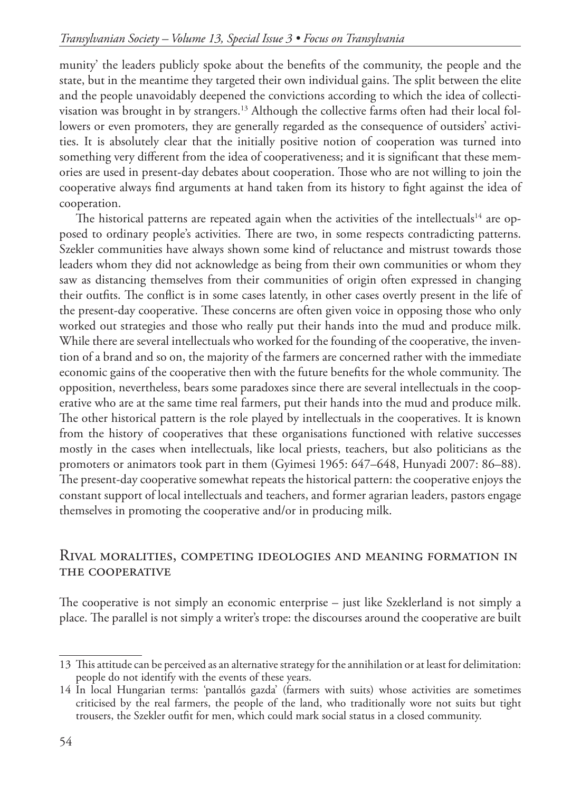munity' the leaders publicly spoke about the benefits of the community, the people and the state, but in the meantime they targeted their own individual gains. The split between the elite and the people unavoidably deepened the convictions according to which the idea of collectivisation was brought in by strangers.<sup>13</sup> Although the collective farms often had their local followers or even promoters, they are generally regarded as the consequence of outsiders' activities. It is absolutely clear that the initially positive notion of cooperation was turned into something very different from the idea of cooperativeness; and it is significant that these memories are used in present-day debates about cooperation. Those who are not willing to join the cooperative always find arguments at hand taken from its history to fight against the idea of cooperation.

The historical patterns are repeated again when the activities of the intellectuals<sup>14</sup> are opposed to ordinary people's activities. There are two, in some respects contradicting patterns. Szekler communities have always shown some kind of reluctance and mistrust towards those leaders whom they did not acknowledge as being from their own communities or whom they saw as distancing themselves from their communities of origin often expressed in changing their outfits. The conflict is in some cases latently, in other cases overtly present in the life of the present-day cooperative. These concerns are often given voice in opposing those who only worked out strategies and those who really put their hands into the mud and produce milk. While there are several intellectuals who worked for the founding of the cooperative, the invention of a brand and so on, the majority of the farmers are concerned rather with the immediate economic gains of the cooperative then with the future benefits for the whole community. The opposition, nevertheless, bears some paradoxes since there are several intellectuals in the cooperative who are at the same time real farmers, put their hands into the mud and produce milk. The other historical pattern is the role played by intellectuals in the cooperatives. It is known from the history of cooperatives that these organisations functioned with relative successes mostly in the cases when intellectuals, like local priests, teachers, but also politicians as the promoters or animators took part in them (Gyimesi 1965: 647–648, Hunyadi 2007: 86–88). The present-day cooperative somewhat repeats the historical pattern: the cooperative enjoys the constant support of local intellectuals and teachers, and former agrarian leaders, pastors engage themselves in promoting the cooperative and/or in producing milk.

# Rival moralities, competing ideologies and meaning formation in the cooperative

The cooperative is not simply an economic enterprise – just like Szeklerland is not simply a place. The parallel is not simply a writer's trope: the discourses around the cooperative are built

<sup>13</sup> This attitude can be perceived as an alternative strategy for the annihilation or at least for delimitation: people do not identify with the events of these years.

<sup>14</sup> In local Hungarian terms: 'pantallós gazda' (farmers with suits) whose activities are sometimes criticised by the real farmers, the people of the land, who traditionally wore not suits but tight trousers, the Szekler outfit for men, which could mark social status in a closed community.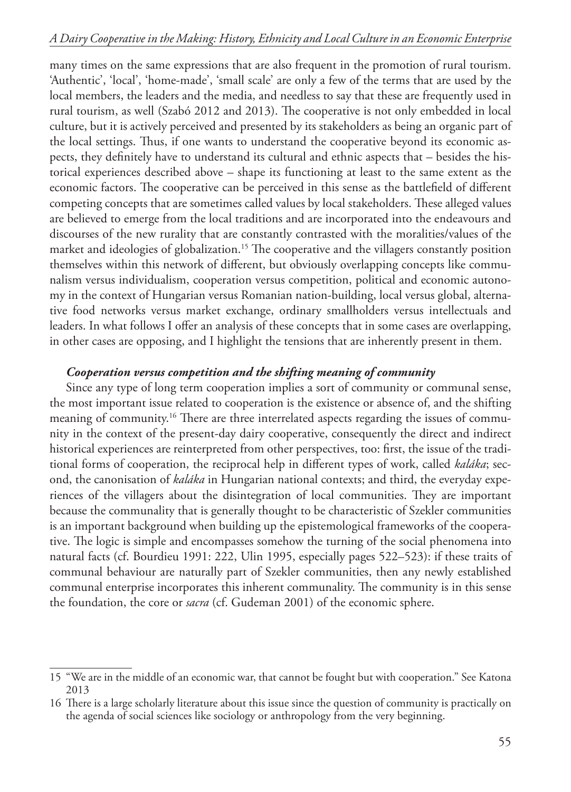many times on the same expressions that are also frequent in the promotion of rural tourism. 'Authentic', 'local', 'home-made', 'small scale' are only a few of the terms that are used by the local members, the leaders and the media, and needless to say that these are frequently used in rural tourism, as well (Szabó 2012 and 2013). The cooperative is not only embedded in local culture, but it is actively perceived and presented by its stakeholders as being an organic part of the local settings. Thus, if one wants to understand the cooperative beyond its economic aspects, they definitely have to understand its cultural and ethnic aspects that – besides the historical experiences described above – shape its functioning at least to the same extent as the economic factors. The cooperative can be perceived in this sense as the battlefield of different competing concepts that are sometimes called values by local stakeholders. These alleged values are believed to emerge from the local traditions and are incorporated into the endeavours and discourses of the new rurality that are constantly contrasted with the moralities/values of the market and ideologies of globalization.<sup>15</sup> The cooperative and the villagers constantly position themselves within this network of different, but obviously overlapping concepts like communalism versus individualism, cooperation versus competition, political and economic autonomy in the context of Hungarian versus Romanian nation-building, local versus global, alternative food networks versus market exchange, ordinary smallholders versus intellectuals and leaders. In what follows I offer an analysis of these concepts that in some cases are overlapping, in other cases are opposing, and I highlight the tensions that are inherently present in them.

#### *Cooperation versus competition and the shifting meaning of community*

Since any type of long term cooperation implies a sort of community or communal sense, the most important issue related to cooperation is the existence or absence of, and the shifting meaning of community.<sup>16</sup> There are three interrelated aspects regarding the issues of community in the context of the present-day dairy cooperative, consequently the direct and indirect historical experiences are reinterpreted from other perspectives, too: first, the issue of the traditional forms of cooperation, the reciprocal help in different types of work, called *kaláka*; second, the canonisation of *kaláka* in Hungarian national contexts; and third, the everyday experiences of the villagers about the disintegration of local communities. They are important because the communality that is generally thought to be characteristic of Szekler communities is an important background when building up the epistemological frameworks of the cooperative. The logic is simple and encompasses somehow the turning of the social phenomena into natural facts (cf. Bourdieu 1991: 222, Ulin 1995, especially pages 522–523): if these traits of communal behaviour are naturally part of Szekler communities, then any newly established communal enterprise incorporates this inherent communality. The community is in this sense the foundation, the core or *sacra* (cf. Gudeman 2001) of the economic sphere.

<sup>15</sup> "We are in the middle of an economic war, that cannot be fought but with cooperation." See Katona 2013

<sup>16</sup> There is a large scholarly literature about this issue since the question of community is practically on the agenda of social sciences like sociology or anthropology from the very beginning.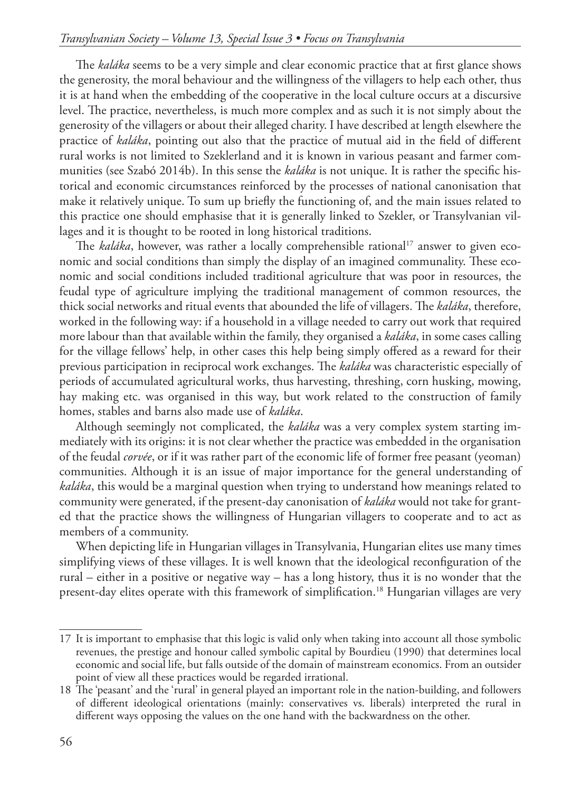The *kaláka* seems to be a very simple and clear economic practice that at first glance shows the generosity, the moral behaviour and the willingness of the villagers to help each other, thus it is at hand when the embedding of the cooperative in the local culture occurs at a discursive level. The practice, nevertheless, is much more complex and as such it is not simply about the generosity of the villagers or about their alleged charity. I have described at length elsewhere the practice of *kaláka*, pointing out also that the practice of mutual aid in the field of different rural works is not limited to Szeklerland and it is known in various peasant and farmer communities (see Szabó 2014b). In this sense the *kaláka* is not unique. It is rather the specific historical and economic circumstances reinforced by the processes of national canonisation that make it relatively unique. To sum up briefly the functioning of, and the main issues related to this practice one should emphasise that it is generally linked to Szekler, or Transylvanian villages and it is thought to be rooted in long historical traditions.

The *kaláka*, however, was rather a locally comprehensible rational<sup>17</sup> answer to given economic and social conditions than simply the display of an imagined communality. These economic and social conditions included traditional agriculture that was poor in resources, the feudal type of agriculture implying the traditional management of common resources, the thick social networks and ritual events that abounded the life of villagers. The *kaláka*, therefore, worked in the following way: if a household in a village needed to carry out work that required more labour than that available within the family, they organised a *kaláka*, in some cases calling for the village fellows' help, in other cases this help being simply offered as a reward for their previous participation in reciprocal work exchanges. The *kaláka* was characteristic especially of periods of accumulated agricultural works, thus harvesting, threshing, corn husking, mowing, hay making etc. was organised in this way, but work related to the construction of family homes, stables and barns also made use of *kaláka*.

Although seemingly not complicated, the *kaláka* was a very complex system starting immediately with its origins: it is not clear whether the practice was embedded in the organisation of the feudal *corvée*, or if it was rather part of the economic life of former free peasant (yeoman) communities. Although it is an issue of major importance for the general understanding of *kaláka*, this would be a marginal question when trying to understand how meanings related to community were generated, if the present-day canonisation of *kaláka* would not take for granted that the practice shows the willingness of Hungarian villagers to cooperate and to act as members of a community.

When depicting life in Hungarian villages in Transylvania, Hungarian elites use many times simplifying views of these villages. It is well known that the ideological reconfiguration of the rural – either in a positive or negative way – has a long history, thus it is no wonder that the present-day elites operate with this framework of simplification.18 Hungarian villages are very

<sup>17</sup> It is important to emphasise that this logic is valid only when taking into account all those symbolic revenues, the prestige and honour called symbolic capital by Bourdieu (1990) that determines local economic and social life, but falls outside of the domain of mainstream economics. From an outsider point of view all these practices would be regarded irrational.

<sup>18</sup> The 'peasant' and the 'rural' in general played an important role in the nation-building, and followers of different ideological orientations (mainly: conservatives vs. liberals) interpreted the rural in different ways opposing the values on the one hand with the backwardness on the other.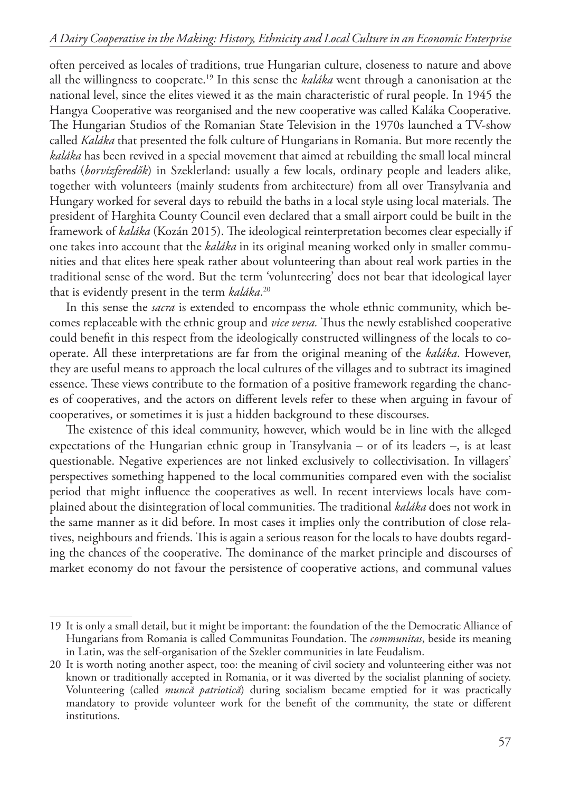often perceived as locales of traditions, true Hungarian culture, closeness to nature and above all the willingness to cooperate.19 In this sense the *kaláka* went through a canonisation at the national level, since the elites viewed it as the main characteristic of rural people. In 1945 the Hangya Cooperative was reorganised and the new cooperative was called Kaláka Cooperative. The Hungarian Studios of the Romanian State Television in the 1970s launched a TV-show called *Kaláka* that presented the folk culture of Hungarians in Romania. But more recently the *kaláka* has been revived in a special movement that aimed at rebuilding the small local mineral baths (*borvízferedők*) in Szeklerland: usually a few locals, ordinary people and leaders alike, together with volunteers (mainly students from architecture) from all over Transylvania and Hungary worked for several days to rebuild the baths in a local style using local materials. The president of Harghita County Council even declared that a small airport could be built in the framework of *kaláka* (Kozán 2015). The ideological reinterpretation becomes clear especially if one takes into account that the *kaláka* in its original meaning worked only in smaller communities and that elites here speak rather about volunteering than about real work parties in the traditional sense of the word. But the term 'volunteering' does not bear that ideological layer that is evidently present in the term *kaláka*. 20

In this sense the *sacra* is extended to encompass the whole ethnic community, which becomes replaceable with the ethnic group and *vice versa.* Thus the newly established cooperative could benefit in this respect from the ideologically constructed willingness of the locals to cooperate. All these interpretations are far from the original meaning of the *kaláka*. However, they are useful means to approach the local cultures of the villages and to subtract its imagined essence. These views contribute to the formation of a positive framework regarding the chances of cooperatives, and the actors on different levels refer to these when arguing in favour of cooperatives, or sometimes it is just a hidden background to these discourses.

The existence of this ideal community, however, which would be in line with the alleged expectations of the Hungarian ethnic group in Transylvania – or of its leaders –, is at least questionable. Negative experiences are not linked exclusively to collectivisation. In villagers' perspectives something happened to the local communities compared even with the socialist period that might influence the cooperatives as well. In recent interviews locals have complained about the disintegration of local communities. The traditional *kaláka* does not work in the same manner as it did before. In most cases it implies only the contribution of close relatives, neighbours and friends. This is again a serious reason for the locals to have doubts regarding the chances of the cooperative. The dominance of the market principle and discourses of market economy do not favour the persistence of cooperative actions, and communal values

<sup>19</sup> It is only a small detail, but it might be important: the foundation of the the Democratic Alliance of Hungarians from Romania is called Communitas Foundation. The *communitas*, beside its meaning in Latin, was the self-organisation of the Szekler communities in late Feudalism.

<sup>20</sup> It is worth noting another aspect, too: the meaning of civil society and volunteering either was not known or traditionally accepted in Romania, or it was diverted by the socialist planning of society. Volunteering (called *muncă patriotică*) during socialism became emptied for it was practically mandatory to provide volunteer work for the benefit of the community, the state or different institutions.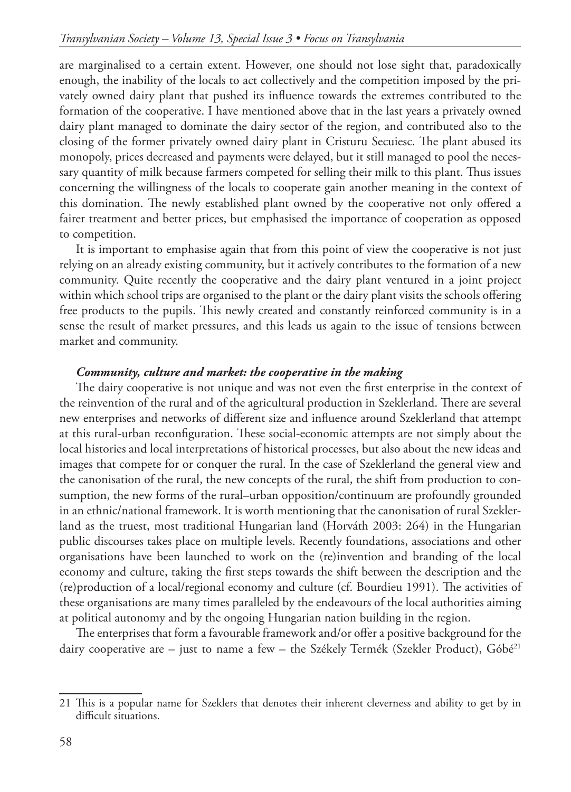are marginalised to a certain extent. However, one should not lose sight that, paradoxically enough, the inability of the locals to act collectively and the competition imposed by the privately owned dairy plant that pushed its influence towards the extremes contributed to the formation of the cooperative. I have mentioned above that in the last years a privately owned dairy plant managed to dominate the dairy sector of the region, and contributed also to the closing of the former privately owned dairy plant in Cristuru Secuiesc. The plant abused its monopoly, prices decreased and payments were delayed, but it still managed to pool the necessary quantity of milk because farmers competed for selling their milk to this plant. Thus issues concerning the willingness of the locals to cooperate gain another meaning in the context of this domination. The newly established plant owned by the cooperative not only offered a fairer treatment and better prices, but emphasised the importance of cooperation as opposed to competition.

It is important to emphasise again that from this point of view the cooperative is not just relying on an already existing community, but it actively contributes to the formation of a new community. Quite recently the cooperative and the dairy plant ventured in a joint project within which school trips are organised to the plant or the dairy plant visits the schools offering free products to the pupils. This newly created and constantly reinforced community is in a sense the result of market pressures, and this leads us again to the issue of tensions between market and community.

#### *Community, culture and market: the cooperative in the making*

The dairy cooperative is not unique and was not even the first enterprise in the context of the reinvention of the rural and of the agricultural production in Szeklerland. There are several new enterprises and networks of different size and influence around Szeklerland that attempt at this rural-urban reconfiguration. These social-economic attempts are not simply about the local histories and local interpretations of historical processes, but also about the new ideas and images that compete for or conquer the rural. In the case of Szeklerland the general view and the canonisation of the rural, the new concepts of the rural, the shift from production to consumption, the new forms of the rural–urban opposition/continuum are profoundly grounded in an ethnic/national framework. It is worth mentioning that the canonisation of rural Szeklerland as the truest, most traditional Hungarian land (Horváth 2003: 264) in the Hungarian public discourses takes place on multiple levels. Recently foundations, associations and other organisations have been launched to work on the (re)invention and branding of the local economy and culture, taking the first steps towards the shift between the description and the (re)production of a local/regional economy and culture (cf. Bourdieu 1991). The activities of these organisations are many times paralleled by the endeavours of the local authorities aiming at political autonomy and by the ongoing Hungarian nation building in the region.

The enterprises that form a favourable framework and/or offer a positive background for the dairy cooperative are – just to name a few – the Székely Termék (Szekler Product), Góbé<sup>21</sup>

<sup>21</sup> This is a popular name for Szeklers that denotes their inherent cleverness and ability to get by in difficult situations.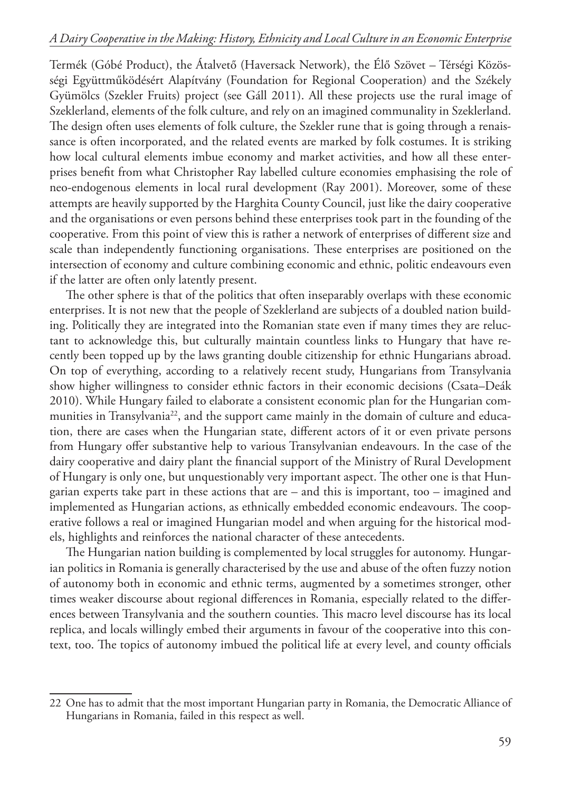Termék (Góbé Product), the Átalvető (Haversack Network), the Élő Szövet – Térségi Közösségi Együttműködésért Alapítvány (Foundation for Regional Cooperation) and the Székely Gyümölcs (Szekler Fruits) project (see Gáll 2011). All these projects use the rural image of Szeklerland, elements of the folk culture, and rely on an imagined communality in Szeklerland. The design often uses elements of folk culture, the Szekler rune that is going through a renaissance is often incorporated, and the related events are marked by folk costumes. It is striking how local cultural elements imbue economy and market activities, and how all these enterprises benefit from what Christopher Ray labelled culture economies emphasising the role of neo-endogenous elements in local rural development (Ray 2001). Moreover, some of these attempts are heavily supported by the Harghita County Council, just like the dairy cooperative and the organisations or even persons behind these enterprises took part in the founding of the cooperative. From this point of view this is rather a network of enterprises of different size and scale than independently functioning organisations. These enterprises are positioned on the intersection of economy and culture combining economic and ethnic, politic endeavours even if the latter are often only latently present.

The other sphere is that of the politics that often inseparably overlaps with these economic enterprises. It is not new that the people of Szeklerland are subjects of a doubled nation building. Politically they are integrated into the Romanian state even if many times they are reluctant to acknowledge this, but culturally maintain countless links to Hungary that have recently been topped up by the laws granting double citizenship for ethnic Hungarians abroad. On top of everything, according to a relatively recent study, Hungarians from Transylvania show higher willingness to consider ethnic factors in their economic decisions (Csata–Deák 2010). While Hungary failed to elaborate a consistent economic plan for the Hungarian communities in Transylvania<sup>22</sup>, and the support came mainly in the domain of culture and education, there are cases when the Hungarian state, different actors of it or even private persons from Hungary offer substantive help to various Transylvanian endeavours. In the case of the dairy cooperative and dairy plant the financial support of the Ministry of Rural Development of Hungary is only one, but unquestionably very important aspect. The other one is that Hungarian experts take part in these actions that are – and this is important, too – imagined and implemented as Hungarian actions, as ethnically embedded economic endeavours. The cooperative follows a real or imagined Hungarian model and when arguing for the historical models, highlights and reinforces the national character of these antecedents.

The Hungarian nation building is complemented by local struggles for autonomy. Hungarian politics in Romania is generally characterised by the use and abuse of the often fuzzy notion of autonomy both in economic and ethnic terms, augmented by a sometimes stronger, other times weaker discourse about regional differences in Romania, especially related to the differences between Transylvania and the southern counties. This macro level discourse has its local replica, and locals willingly embed their arguments in favour of the cooperative into this context, too. The topics of autonomy imbued the political life at every level, and county officials

<sup>22</sup> One has to admit that the most important Hungarian party in Romania, the Democratic Alliance of Hungarians in Romania, failed in this respect as well.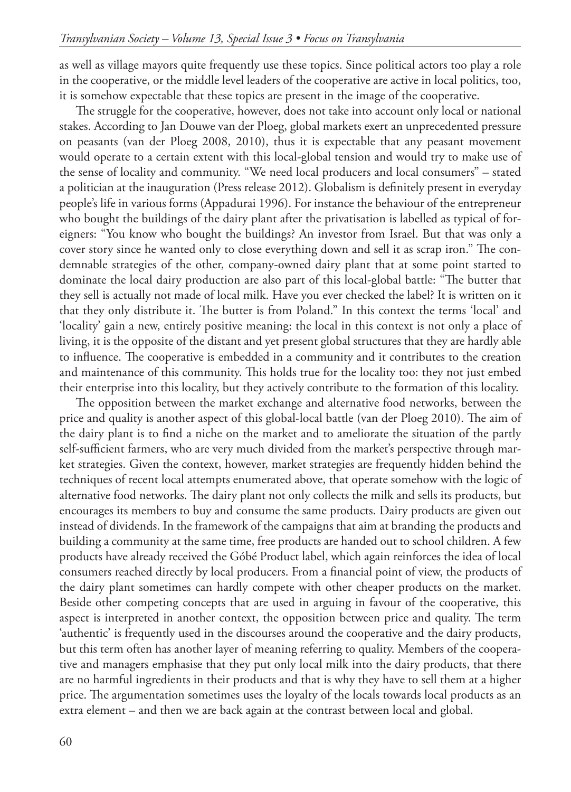as well as village mayors quite frequently use these topics. Since political actors too play a role in the cooperative, or the middle level leaders of the cooperative are active in local politics, too, it is somehow expectable that these topics are present in the image of the cooperative.

The struggle for the cooperative, however, does not take into account only local or national stakes. According to Jan Douwe van der Ploeg, global markets exert an unprecedented pressure on peasants (van der Ploeg 2008, 2010), thus it is expectable that any peasant movement would operate to a certain extent with this local-global tension and would try to make use of the sense of locality and community. "We need local producers and local consumers" – stated a politician at the inauguration (Press release 2012). Globalism is definitely present in everyday people's life in various forms (Appadurai 1996). For instance the behaviour of the entrepreneur who bought the buildings of the dairy plant after the privatisation is labelled as typical of foreigners: "You know who bought the buildings? An investor from Israel. But that was only a cover story since he wanted only to close everything down and sell it as scrap iron." The condemnable strategies of the other, company-owned dairy plant that at some point started to dominate the local dairy production are also part of this local-global battle: "The butter that they sell is actually not made of local milk. Have you ever checked the label? It is written on it that they only distribute it. The butter is from Poland." In this context the terms 'local' and 'locality' gain a new, entirely positive meaning: the local in this context is not only a place of living, it is the opposite of the distant and yet present global structures that they are hardly able to influence. The cooperative is embedded in a community and it contributes to the creation and maintenance of this community. This holds true for the locality too: they not just embed their enterprise into this locality, but they actively contribute to the formation of this locality.

The opposition between the market exchange and alternative food networks, between the price and quality is another aspect of this global-local battle (van der Ploeg 2010). The aim of the dairy plant is to find a niche on the market and to ameliorate the situation of the partly self-sufficient farmers, who are very much divided from the market's perspective through market strategies. Given the context, however, market strategies are frequently hidden behind the techniques of recent local attempts enumerated above, that operate somehow with the logic of alternative food networks. The dairy plant not only collects the milk and sells its products, but encourages its members to buy and consume the same products. Dairy products are given out instead of dividends. In the framework of the campaigns that aim at branding the products and building a community at the same time, free products are handed out to school children. A few products have already received the Góbé Product label, which again reinforces the idea of local consumers reached directly by local producers. From a financial point of view, the products of the dairy plant sometimes can hardly compete with other cheaper products on the market. Beside other competing concepts that are used in arguing in favour of the cooperative, this aspect is interpreted in another context, the opposition between price and quality. The term 'authentic' is frequently used in the discourses around the cooperative and the dairy products, but this term often has another layer of meaning referring to quality. Members of the cooperative and managers emphasise that they put only local milk into the dairy products, that there are no harmful ingredients in their products and that is why they have to sell them at a higher price. The argumentation sometimes uses the loyalty of the locals towards local products as an extra element – and then we are back again at the contrast between local and global.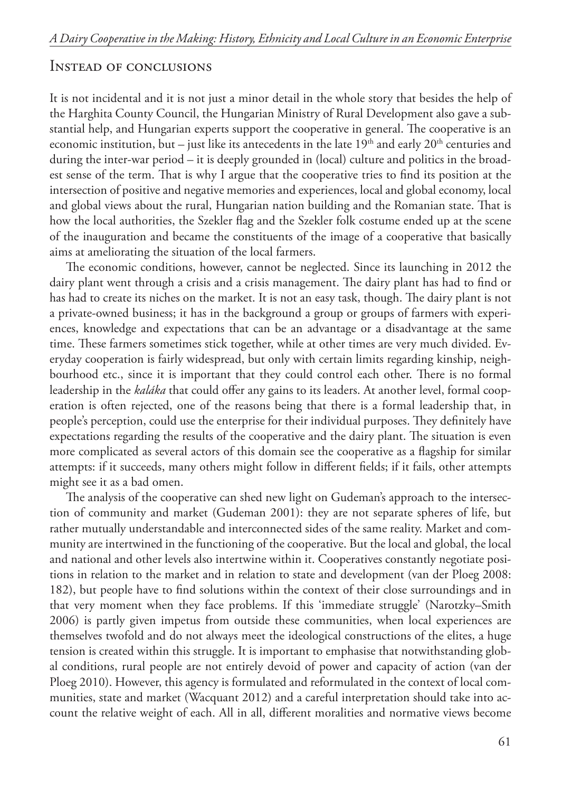# Instead of conclusions

It is not incidental and it is not just a minor detail in the whole story that besides the help of the Harghita County Council, the Hungarian Ministry of Rural Development also gave a substantial help, and Hungarian experts support the cooperative in general. The cooperative is an economic institution, but – just like its antecedents in the late  $19<sup>th</sup>$  and early  $20<sup>th</sup>$  centuries and during the inter-war period – it is deeply grounded in (local) culture and politics in the broadest sense of the term. That is why I argue that the cooperative tries to find its position at the intersection of positive and negative memories and experiences, local and global economy, local and global views about the rural, Hungarian nation building and the Romanian state. That is how the local authorities, the Szekler flag and the Szekler folk costume ended up at the scene of the inauguration and became the constituents of the image of a cooperative that basically aims at ameliorating the situation of the local farmers.

The economic conditions, however, cannot be neglected. Since its launching in 2012 the dairy plant went through a crisis and a crisis management. The dairy plant has had to find or has had to create its niches on the market. It is not an easy task, though. The dairy plant is not a private-owned business; it has in the background a group or groups of farmers with experiences, knowledge and expectations that can be an advantage or a disadvantage at the same time. These farmers sometimes stick together, while at other times are very much divided. Everyday cooperation is fairly widespread, but only with certain limits regarding kinship, neighbourhood etc., since it is important that they could control each other. There is no formal leadership in the *kaláka* that could offer any gains to its leaders. At another level, formal cooperation is often rejected, one of the reasons being that there is a formal leadership that, in people's perception, could use the enterprise for their individual purposes. They definitely have expectations regarding the results of the cooperative and the dairy plant. The situation is even more complicated as several actors of this domain see the cooperative as a flagship for similar attempts: if it succeeds, many others might follow in different fields; if it fails, other attempts might see it as a bad omen.

The analysis of the cooperative can shed new light on Gudeman's approach to the intersection of community and market (Gudeman 2001): they are not separate spheres of life, but rather mutually understandable and interconnected sides of the same reality. Market and community are intertwined in the functioning of the cooperative. But the local and global, the local and national and other levels also intertwine within it. Cooperatives constantly negotiate positions in relation to the market and in relation to state and development (van der Ploeg 2008: 182), but people have to find solutions within the context of their close surroundings and in that very moment when they face problems. If this 'immediate struggle' (Narotzky–Smith 2006) is partly given impetus from outside these communities, when local experiences are themselves twofold and do not always meet the ideological constructions of the elites, a huge tension is created within this struggle. It is important to emphasise that notwithstanding global conditions, rural people are not entirely devoid of power and capacity of action (van der Ploeg 2010). However, this agency is formulated and reformulated in the context of local communities, state and market (Wacquant 2012) and a careful interpretation should take into account the relative weight of each. All in all, different moralities and normative views become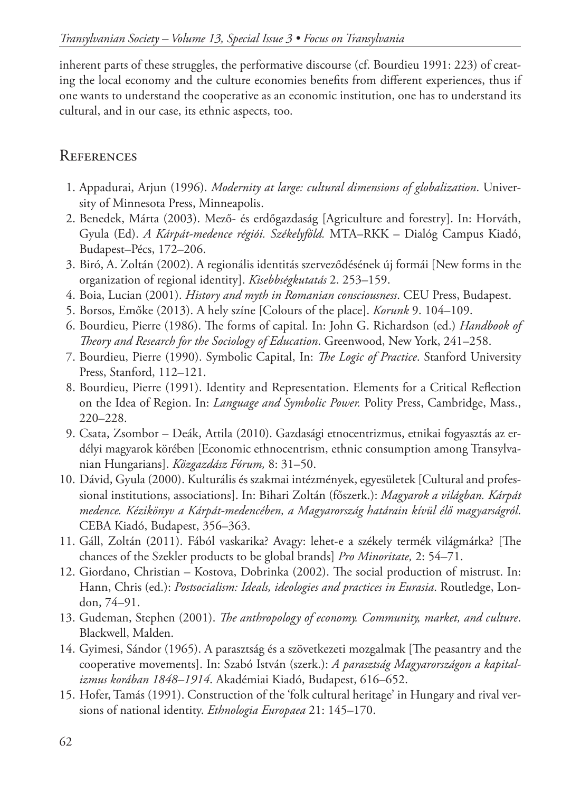inherent parts of these struggles, the performative discourse (cf. Bourdieu 1991: 223) of creating the local economy and the culture economies benefits from different experiences, thus if one wants to understand the cooperative as an economic institution, one has to understand its cultural, and in our case, its ethnic aspects, too.

# **REFERENCES**

- 1. Appadurai, Arjun (1996). *Modernity at large: cultural dimensions of globalization*. University of Minnesota Press, Minneapolis.
- 2. Benedek, Márta (2003). Mező- és erdőgazdaság [Agriculture and forestry]. In: Horváth, Gyula (Ed). *A Kárpát-medence régiói. Székelyföld.* MTA–RKK – Dialóg Campus Kiadó, Budapest–Pécs, 172–206.
- 3. Biró, A. Zoltán (2002). A regionális identitás szerveződésének új formái [New forms in the organization of regional identity]. *Kisebbségkutatás* 2. 253–159.
- 4. Boia, Lucian (2001). *History and myth in Romanian consciousness*. CEU Press, Budapest.
- 5. Borsos, Emőke (2013). A hely színe [Colours of the place]. *Korunk* 9. 104–109.
- 6. Bourdieu, Pierre (1986). The forms of capital. In: John G. Richardson (ed.) *Handbook of Theory and Research for the Sociology of Education*. Greenwood, New York, 241–258.
- 7. Bourdieu, Pierre (1990). Symbolic Capital, In: *The Logic of Practice*. Stanford University Press, Stanford, 112–121.
- 8. Bourdieu, Pierre (1991). Identity and Representation. Elements for a Critical Reflection on the Idea of Region. In: *Language and Symbolic Power.* Polity Press, Cambridge, Mass., 220–228.
- 9. Csata, Zsombor Deák, Attila (2010). Gazdasági etnocentrizmus, etnikai fogyasztás az erdélyi magyarok körében [Economic ethnocentrism, ethnic consumption among Transylvanian Hungarians]. *Közgazdász Fórum,* 8: 31–50.
- 10. Dávid, Gyula (2000). Kulturális és szakmai intézmények, egyesületek [Cultural and professional institutions, associations]. In: Bihari Zoltán (főszerk.): *Magyarok a világban. Kárpát medence. Kézikönyv a Kárpát-medencében, a Magyarország határain kívül élő magyarságról*. CEBA Kiadó, Budapest, 356–363.
- 11. Gáll, Zoltán (2011). Fából vaskarika? Avagy: lehet-e a székely termék világmárka? [The chances of the Szekler products to be global brands] *Pro Minoritate,* 2: 54–71.
- 12. Giordano, Christian Kostova, Dobrinka (2002). The social production of mistrust. In: Hann, Chris (ed.): *Postsocialism: Ideals, ideologies and practices in Eurasia*. Routledge, London, 74–91.
- 13. Gudeman, Stephen (2001). *The anthropology of economy. Community, market, and culture*. Blackwell, Malden.
- 14. Gyimesi, Sándor (1965). A parasztság és a szövetkezeti mozgalmak [The peasantry and the cooperative movements]. In: Szabó István (szerk.): *A parasztság Magyarországon a kapitalizmus korában 1848–1914*. Akadémiai Kiadó, Budapest, 616–652.
- 15. Hofer, Tamás (1991). Construction of the 'folk cultural heritage' in Hungary and rival versions of national identity. *Ethnologia Europaea* 21: 145–170.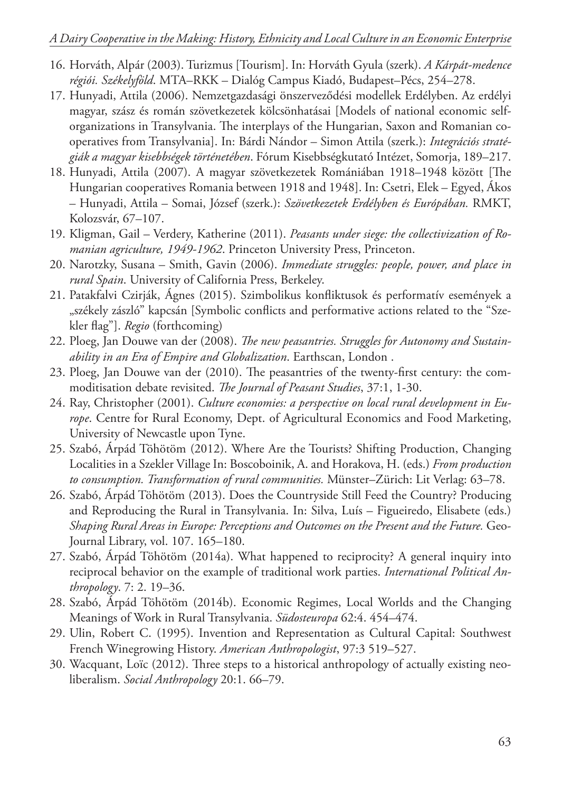- 16. Horváth, Alpár (2003). Turizmus [Tourism]. In: Horváth Gyula (szerk). *A Kárpát-medence régiói. Székelyföld*. MTA–RKK – Dialóg Campus Kiadó, Budapest–Pécs, 254–278.
- 17. Hunyadi, Attila (2006). Nemzetgazdasági önszerveződési modellek Erdélyben. Az erdélyi magyar, szász és román szövetkezetek kölcsönhatásai [Models of national economic selforganizations in Transylvania. The interplays of the Hungarian, Saxon and Romanian cooperatives from Transylvania]. In: Bárdi Nándor – Simon Attila (szerk.): *Integrációs stratégiák a magyar kisebbségek történetében*. Fórum Kisebbségkutató Intézet, Somorja, 189–217.
- 18. Hunyadi, Attila (2007). A magyar szövetkezetek Romániában 1918–1948 között [The Hungarian cooperatives Romania between 1918 and 1948]. In: Csetri, Elek – Egyed, Ákos – Hunyadi, Attila – Somai, József (szerk.): *Szövetkezetek Erdélyben és Európában.* RMKT, Kolozsvár, 67–107.
- 19. Kligman, Gail Verdery, Katherine (2011). *Peasants under siege: the collectivization of Romanian agriculture, 1949-1962*. Princeton University Press, Princeton.
- 20. Narotzky, Susana Smith, Gavin (2006). *Immediate struggles: people, power, and place in rural Spain*. University of California Press, Berkeley.
- 21. Patakfalvi Czirják, Ágnes (2015). Szimbolikus konfliktusok és performatív események a "székely zászló" kapcsán [Symbolic conflicts and performative actions related to the "Szekler flag"]. *Regio* (forthcoming)
- 22. Ploeg, Jan Douwe van der (2008). *The new peasantries. Struggles for Autonomy and Sustainability in an Era of Empire and Globalization*. Earthscan, London .
- 23. Ploeg, Jan Douwe van der (2010). The peasantries of the twenty-first century: the commoditisation debate revisited. *The Journal of Peasant Studies*, 37:1, 1-30.
- 24. Ray, Christopher (2001). *Culture economies: a perspective on local rural development in Europe*. Centre for Rural Economy, Dept. of Agricultural Economics and Food Marketing, University of Newcastle upon Tyne.
- 25. Szabó, Árpád Töhötöm (2012). Where Are the Tourists? Shifting Production, Changing Localities in a Szekler Village In: Boscoboinik, A. and Horakova, H. (eds.) *From production to consumption. Transformation of rural communities.* Münster–Zürich: Lit Verlag: 63–78.
- 26. Szabó, Árpád Töhötöm (2013). Does the Countryside Still Feed the Country? Producing and Reproducing the Rural in Transylvania. In: Silva, Luís – Figueiredo, Elisabete (eds.) *Shaping Rural Areas in Europe: Perceptions and Outcomes on the Present and the Future.* Geo-Journal Library, vol. 107. 165–180.
- 27. Szabó, Árpád Töhötöm (2014a). What happened to reciprocity? A general inquiry into reciprocal behavior on the example of traditional work parties. *International Political Anthropology*. 7: 2. 19–36.
- 28. Szabó, Árpád Töhötöm (2014b). Economic Regimes, Local Worlds and the Changing Meanings of Work in Rural Transylvania. *Südosteuropa* 62:4. 454–474.
- 29. Ulin, Robert C. (1995). Invention and Representation as Cultural Capital: Southwest French Winegrowing History. *American Anthropologist*, 97:3 519–527.
- 30. Wacquant, Loïc (2012). Three steps to a historical anthropology of actually existing neoliberalism. *Social Anthropology* 20:1. 66–79.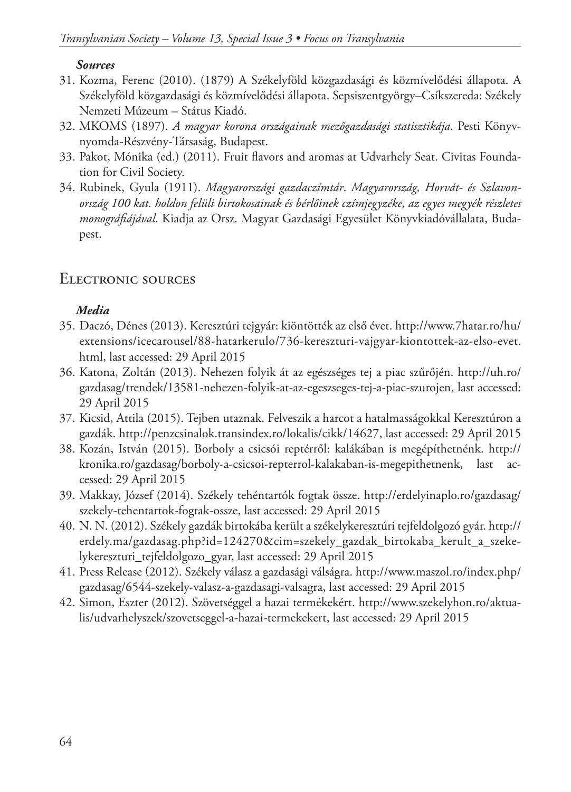#### *Sources*

- 31. Kozma, Ferenc (2010). (1879) A Székelyföld közgazdasági és közmívelődési állapota. A Székelyföld közgazdasági és közmívelődési állapota. Sepsiszentgyörgy–Csíkszereda: Székely Nemzeti Múzeum – Státus Kiadó.
- 32. MKOMS (1897). *A magyar korona országainak mezőgazdasági statisztikája*. Pesti Könyvnyomda-Részvény-Társaság, Budapest.
- 33. Pakot, Mónika (ed.) (2011). Fruit flavors and aromas at Udvarhely Seat. Civitas Foundation for Civil Society.
- 34. Rubinek, Gyula (1911). *Magyarországi gazdaczímtár*. *Magyarország, Horvát- és Szlavonország 100 kat. holdon felüli birtokosainak és bérlőinek czímjegyzéke, az egyes megyék részletes monográfiájával*. Kiadja az Orsz. Magyar Gazdasági Egyesület Könyvkiadóvállalata, Budapest.

# Electronic sources

# *Media*

- 35. Daczó, Dénes (2013). Keresztúri tejgyár: kiöntötték az első évet. http://www.7hatar.ro/hu/ extensions/icecarousel/88-hatarkerulo/736-kereszturi-vajgyar-kiontottek-az-elso-evet. html, last accessed: 29 April 2015
- 36. Katona, Zoltán (2013). Nehezen folyik át az egészséges tej a piac szűrőjén. http://uh.ro/ gazdasag/trendek/13581-nehezen-folyik-at-az-egeszseges-tej-a-piac-szurojen, last accessed: 29 April 2015
- 37. Kicsid, Attila (2015). Tejben utaznak. Felveszik a harcot a hatalmasságokkal Keresztúron a gazdák. http://penzcsinalok.transindex.ro/lokalis/cikk/14627, last accessed: 29 April 2015
- 38. Kozán, István (2015). Borboly a csicsói reptérről: kalákában is megépíthetnénk. http:// kronika.ro/gazdasag/borboly-a-csicsoi-repterrol-kalakaban-is-megepithetnenk, last accessed: 29 April 2015
- 39. Makkay, József (2014). Székely tehéntartók fogtak össze. http://erdelyinaplo.ro/gazdasag/ szekely-tehentartok-fogtak-ossze, last accessed: 29 April 2015
- 40. N. N. (2012). Székely gazdák birtokába került a székelykeresztúri tejfeldolgozó gyár. http:// erdely.ma/gazdasag.php?id=124270&cim=szekely\_gazdak\_birtokaba\_kerult\_a\_szekelykereszturi\_tejfeldolgozo\_gyar, last accessed: 29 April 2015
- 41. Press Release (2012). Székely válasz a gazdasági válságra. http://www.maszol.ro/index.php/ gazdasag/6544-szekely-valasz-a-gazdasagi-valsagra, last accessed: 29 April 2015
- 42. Simon, Eszter (2012). Szövetséggel a hazai termékekért. http://www.szekelyhon.ro/aktualis/udvarhelyszek/szovetseggel-a-hazai-termekekert, last accessed: 29 April 2015